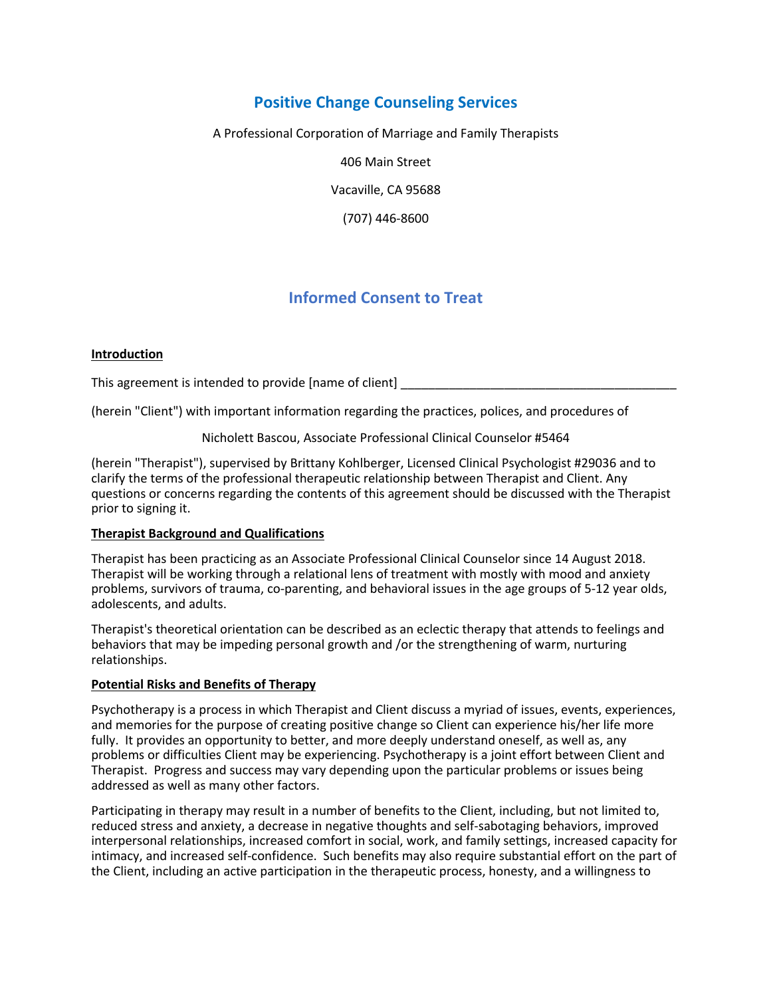# **Positive Change Counseling Services**

A Professional Corporation of Marriage and Family Therapists

406 Main Street

Vacaville, CA 95688

(707) 446-8600

# **Informed Consent to Treat**

# **Introduction**

This agreement is intended to provide [name of client]

(herein "Client") with important information regarding the practices, polices, and procedures of

Nicholett Bascou, Associate Professional Clinical Counselor #5464

(herein "Therapist"), supervised by Brittany Kohlberger, Licensed Clinical Psychologist #29036 and to clarify the terms of the professional therapeutic relationship between Therapist and Client. Any questions or concerns regarding the contents of this agreement should be discussed with the Therapist prior to signing it.

# **Therapist Background and Qualifications**

Therapist has been practicing as an Associate Professional Clinical Counselor since 14 August 2018. Therapist will be working through a relational lens of treatment with mostly with mood and anxiety problems, survivors of trauma, co-parenting, and behavioral issues in the age groups of 5-12 year olds, adolescents, and adults.

Therapist's theoretical orientation can be described as an eclectic therapy that attends to feelings and behaviors that may be impeding personal growth and /or the strengthening of warm, nurturing relationships.

#### **Potential Risks and Benefits of Therapy**

Psychotherapy is a process in which Therapist and Client discuss a myriad of issues, events, experiences, and memories for the purpose of creating positive change so Client can experience his/her life more fully. It provides an opportunity to better, and more deeply understand oneself, as well as, any problems or difficulties Client may be experiencing. Psychotherapy is a joint effort between Client and Therapist. Progress and success may vary depending upon the particular problems or issues being addressed as well as many other factors.

Participating in therapy may result in a number of benefits to the Client, including, but not limited to, reduced stress and anxiety, a decrease in negative thoughts and self-sabotaging behaviors, improved interpersonal relationships, increased comfort in social, work, and family settings, increased capacity for intimacy, and increased self-confidence. Such benefits may also require substantial effort on the part of the Client, including an active participation in the therapeutic process, honesty, and a willingness to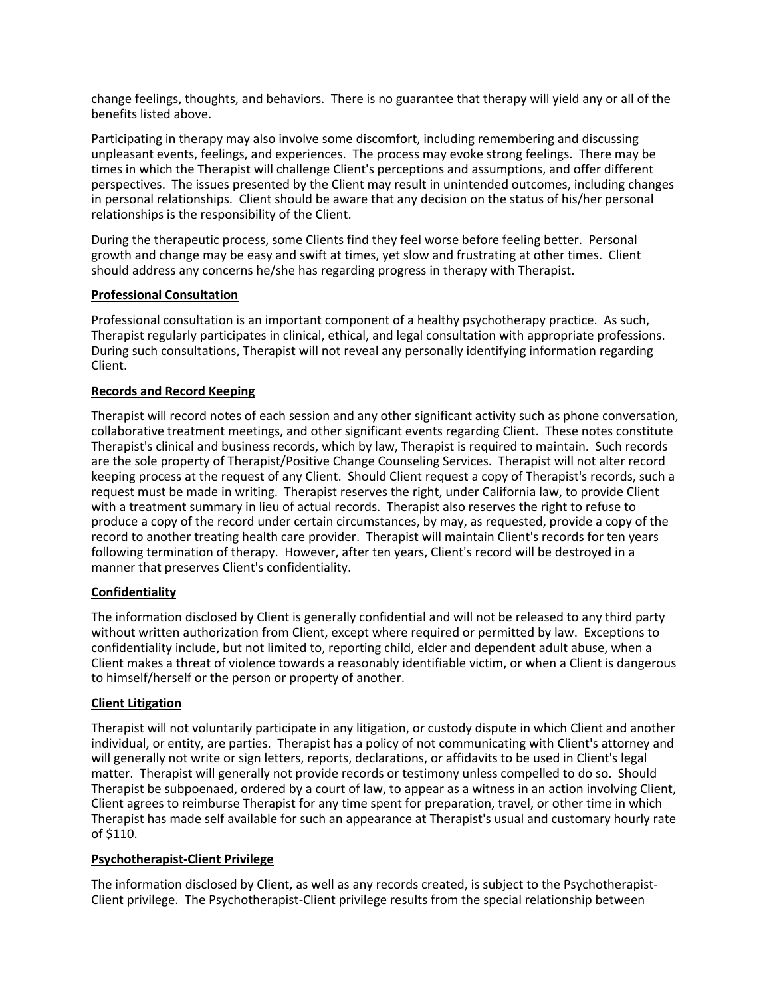change feelings, thoughts, and behaviors. There is no guarantee that therapy will yield any or all of the benefits listed above.

Participating in therapy may also involve some discomfort, including remembering and discussing unpleasant events, feelings, and experiences. The process may evoke strong feelings. There may be times in which the Therapist will challenge Client's perceptions and assumptions, and offer different perspectives. The issues presented by the Client may result in unintended outcomes, including changes in personal relationships. Client should be aware that any decision on the status of his/her personal relationships is the responsibility of the Client.

During the therapeutic process, some Clients find they feel worse before feeling better. Personal growth and change may be easy and swift at times, yet slow and frustrating at other times. Client should address any concerns he/she has regarding progress in therapy with Therapist.

# **Professional Consultation**

Professional consultation is an important component of a healthy psychotherapy practice. As such, Therapist regularly participates in clinical, ethical, and legal consultation with appropriate professions. During such consultations, Therapist will not reveal any personally identifying information regarding Client.

# **Records and Record Keeping**

Therapist will record notes of each session and any other significant activity such as phone conversation, collaborative treatment meetings, and other significant events regarding Client. These notes constitute Therapist's clinical and business records, which by law, Therapist is required to maintain. Such records are the sole property of Therapist/Positive Change Counseling Services. Therapist will not alter record keeping process at the request of any Client. Should Client request a copy of Therapist's records, such a request must be made in writing. Therapist reserves the right, under California law, to provide Client with a treatment summary in lieu of actual records. Therapist also reserves the right to refuse to produce a copy of the record under certain circumstances, by may, as requested, provide a copy of the record to another treating health care provider. Therapist will maintain Client's records for ten years following termination of therapy. However, after ten years, Client's record will be destroyed in a manner that preserves Client's confidentiality.

# **Confidentiality**

The information disclosed by Client is generally confidential and will not be released to any third party without written authorization from Client, except where required or permitted by law. Exceptions to confidentiality include, but not limited to, reporting child, elder and dependent adult abuse, when a Client makes a threat of violence towards a reasonably identifiable victim, or when a Client is dangerous to himself/herself or the person or property of another.

#### **Client Litigation**

Therapist will not voluntarily participate in any litigation, or custody dispute in which Client and another individual, or entity, are parties. Therapist has a policy of not communicating with Client's attorney and will generally not write or sign letters, reports, declarations, or affidavits to be used in Client's legal matter. Therapist will generally not provide records or testimony unless compelled to do so. Should Therapist be subpoenaed, ordered by a court of law, to appear as a witness in an action involving Client, Client agrees to reimburse Therapist for any time spent for preparation, travel, or other time in which Therapist has made self available for such an appearance at Therapist's usual and customary hourly rate of \$110.

#### **Psychotherapist-Client Privilege**

The information disclosed by Client, as well as any records created, is subject to the Psychotherapist-Client privilege. The Psychotherapist-Client privilege results from the special relationship between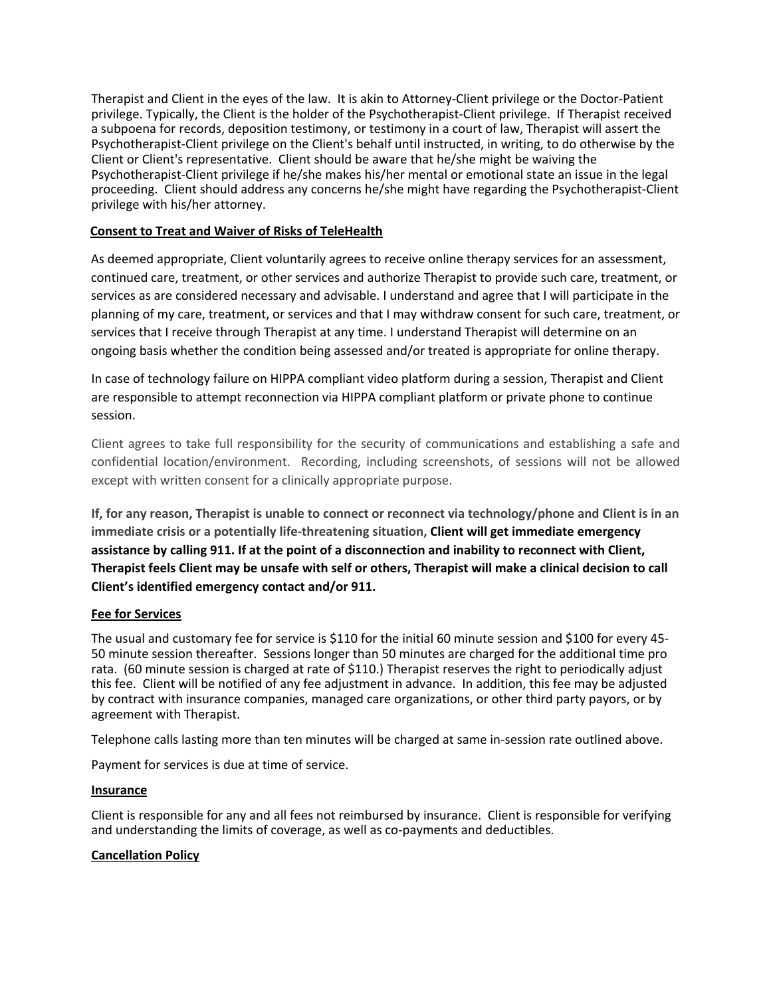Therapist and Client in the eyes of the law. It is akin to Attorney-Client privilege or the Doctor-Patient privilege. Typically, the Client is the holder of the Psychotherapist-Client privilege. If Therapist received a subpoena for records, deposition testimony, or testimony in a court of law, Therapist will assert the Psychotherapist-Client privilege on the Client's behalf until instructed, in writing, to do otherwise by the Client or Client's representative. Client should be aware that he/she might be waiving the Psychotherapist-Client privilege if he/she makes his/her mental or emotional state an issue in the legal proceeding. Client should address any concerns he/she might have regarding the Psychotherapist-Client privilege with his/her attorney.

# **Consent to Treat and Waiver of Risks of TeleHealth**

As deemed appropriate, Client voluntarily agrees to receive online therapy services for an assessment, continued care, treatment, or other services and authorize Therapist to provide such care, treatment, or services as are considered necessary and advisable. I understand and agree that I will participate in the planning of my care, treatment, or services and that I may withdraw consent for such care, treatment, or services that I receive through Therapist at any time. I understand Therapist will determine on an ongoing basis whether the condition being assessed and/or treated is appropriate for online therapy.

In case of technology failure on HIPPA compliant video platform during a session, Therapist and Client are responsible to attempt reconnection via HIPPA compliant platform or private phone to continue session.

Client agrees to take full responsibility for the security of communications and establishing a safe and confidential location/environment. Recording, including screenshots, of sessions will not be allowed except with written consent for a clinically appropriate purpose.

**If, for any reason, Therapist is unable to connect or reconnect via technology/phone and Client is in an immediate crisis or a potentially life-threatening situation, Client will get immediate emergency assistance by calling 911. If at the point of a disconnection and inability to reconnect with Client, Therapist feels Client may be unsafe with self or others, Therapist will make a clinical decision to call Client's identified emergency contact and/or 911.**

# **Fee for Services**

The usual and customary fee for service is \$110 for the initial 60 minute session and \$100 for every 45- 50 minute session thereafter. Sessions longer than 50 minutes are charged for the additional time pro rata. (60 minute session is charged at rate of \$110.) Therapist reserves the right to periodically adjust this fee. Client will be notified of any fee adjustment in advance. In addition, this fee may be adjusted by contract with insurance companies, managed care organizations, or other third party payors, or by agreement with Therapist.

Telephone calls lasting more than ten minutes will be charged at same in-session rate outlined above.

Payment for services is due at time of service.

# **Insurance**

Client is responsible for any and all fees not reimbursed by insurance. Client is responsible for verifying and understanding the limits of coverage, as well as co-payments and deductibles.

# **Cancellation Policy**